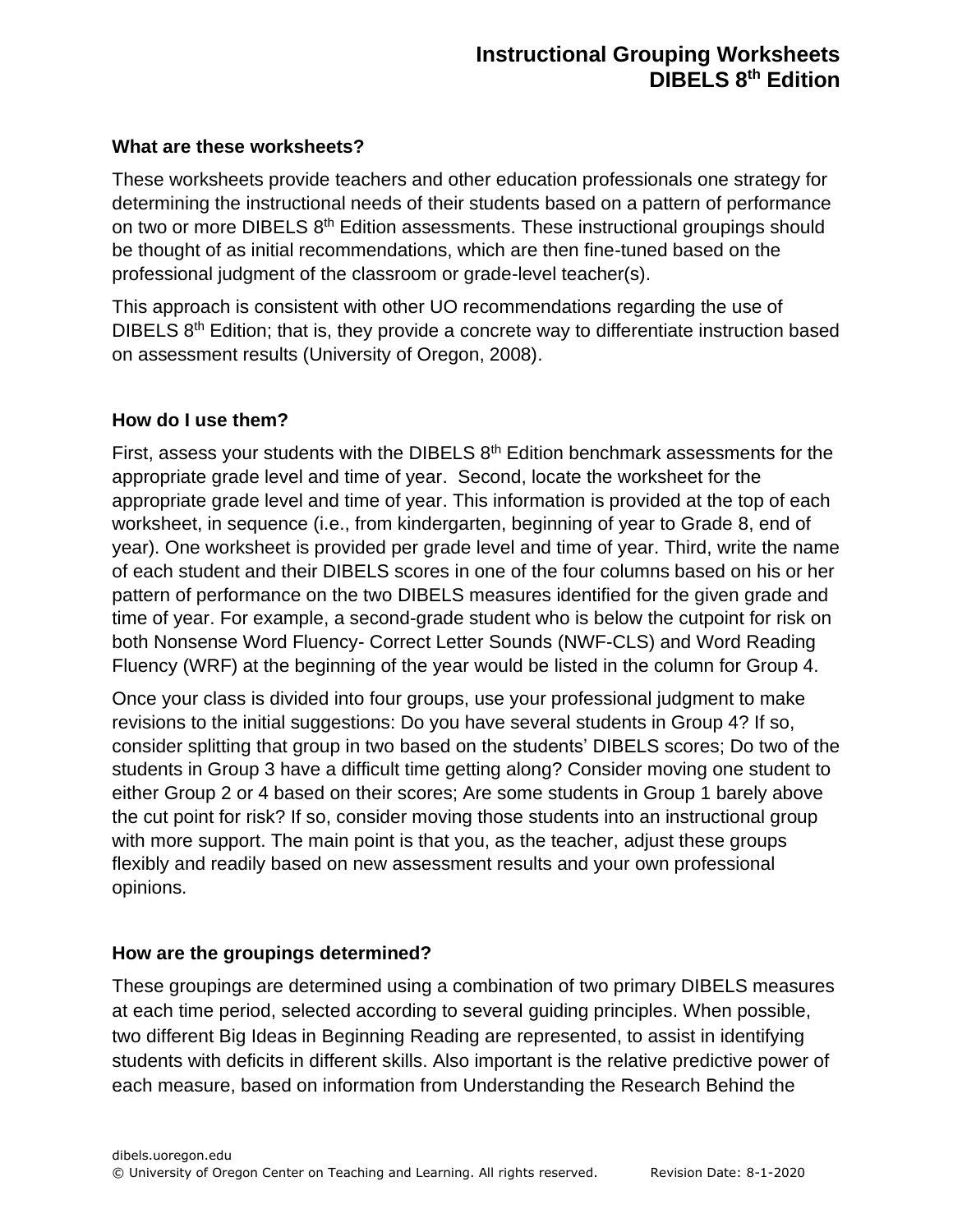#### **What are these worksheets?**

These worksheets provide teachers and other education professionals one strategy for determining the instructional needs of their students based on a pattern of performance on two or more DIBELS 8<sup>th</sup> Edition assessments. These instructional groupings should be thought of as initial recommendations, which are then fine-tuned based on the professional judgment of the classroom or grade-level teacher(s).

This approach is consistent with other UO recommendations regarding the use of DIBELS 8<sup>th</sup> Edition; that is, they provide a concrete way to differentiate instruction based on assessment results (University of Oregon, 2008).

### **How do I use them?**

First, assess your students with the DIBELS  $8<sup>th</sup>$  Edition benchmark assessments for the appropriate grade level and time of year. Second, locate the worksheet for the appropriate grade level and time of year. This information is provided at the top of each worksheet, in sequence (i.e., from kindergarten, beginning of year to Grade 8, end of year). One worksheet is provided per grade level and time of year. Third, write the name of each student and their DIBELS scores in one of the four columns based on his or her pattern of performance on the two DIBELS measures identified for the given grade and time of year. For example, a second-grade student who is below the cutpoint for risk on both Nonsense Word Fluency- Correct Letter Sounds (NWF-CLS) and Word Reading Fluency (WRF) at the beginning of the year would be listed in the column for Group 4.

Once your class is divided into four groups, use your professional judgment to make revisions to the initial suggestions: Do you have several students in Group 4? If so, consider splitting that group in two based on the students' DIBELS scores; Do two of the students in Group 3 have a difficult time getting along? Consider moving one student to either Group 2 or 4 based on their scores; Are some students in Group 1 barely above the cut point for risk? If so, consider moving those students into an instructional group with more support. The main point is that you, as the teacher, adjust these groups flexibly and readily based on new assessment results and your own professional opinions.

## **How are the groupings determined?**

These groupings are determined using a combination of two primary DIBELS measures at each time period, selected according to several guiding principles. When possible, two different Big Ideas in Beginning Reading are represented, to assist in identifying students with deficits in different skills. Also important is the relative predictive power of each measure, based on information from Understanding the Research Behind the